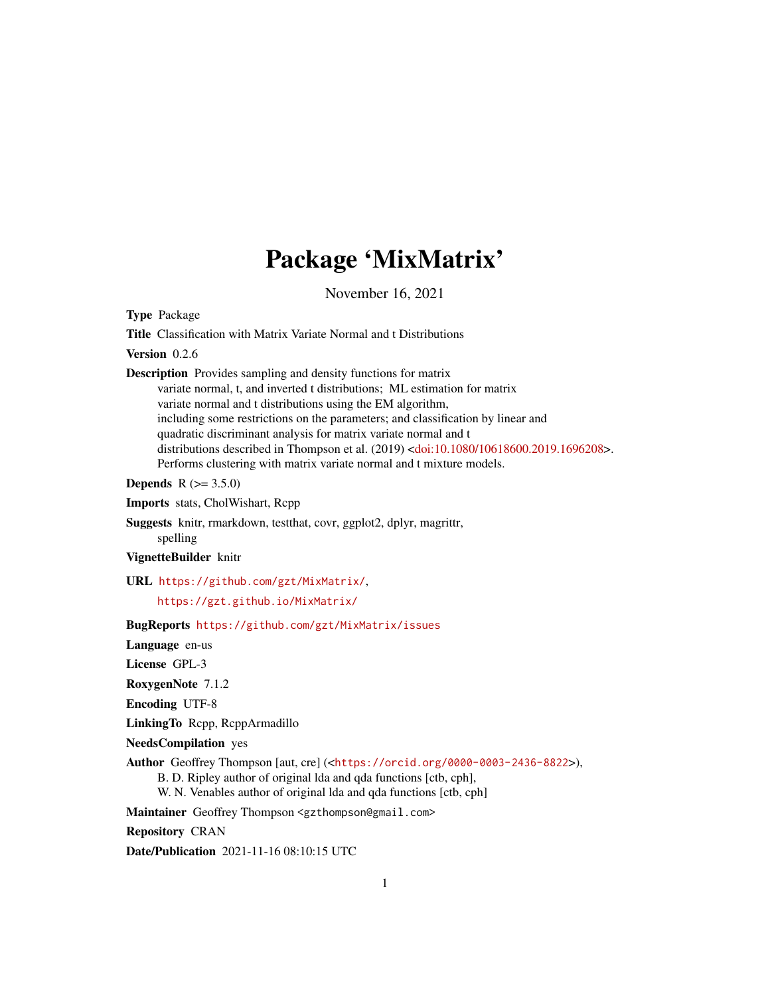# Package 'MixMatrix'

November 16, 2021

<span id="page-0-0"></span>Type Package

Title Classification with Matrix Variate Normal and t Distributions

Version 0.2.6

Description Provides sampling and density functions for matrix variate normal, t, and inverted t distributions; ML estimation for matrix variate normal and t distributions using the EM algorithm, including some restrictions on the parameters; and classification by linear and quadratic discriminant analysis for matrix variate normal and t distributions described in Thompson et al. (2019) [<doi:10.1080/10618600.2019.1696208>](https://doi.org/10.1080/10618600.2019.1696208). Performs clustering with matrix variate normal and t mixture models.

**Depends** R  $(>= 3.5.0)$ 

Imports stats, CholWishart, Rcpp

Suggests knitr, rmarkdown, testthat, covr, ggplot2, dplyr, magrittr, spelling

VignetteBuilder knitr

URL <https://github.com/gzt/MixMatrix/>,

<https://gzt.github.io/MixMatrix/>

BugReports <https://github.com/gzt/MixMatrix/issues>

Language en-us

License GPL-3

RoxygenNote 7.1.2

Encoding UTF-8

LinkingTo Rcpp, RcppArmadillo

NeedsCompilation yes

Author Geoffrey Thompson [aut, cre] (<<https://orcid.org/0000-0003-2436-8822>>),

B. D. Ripley author of original lda and qda functions [ctb, cph],

W. N. Venables author of original lda and qda functions [ctb, cph]

Maintainer Geoffrey Thompson <gzthompson@gmail.com>

Repository CRAN

Date/Publication 2021-11-16 08:10:15 UTC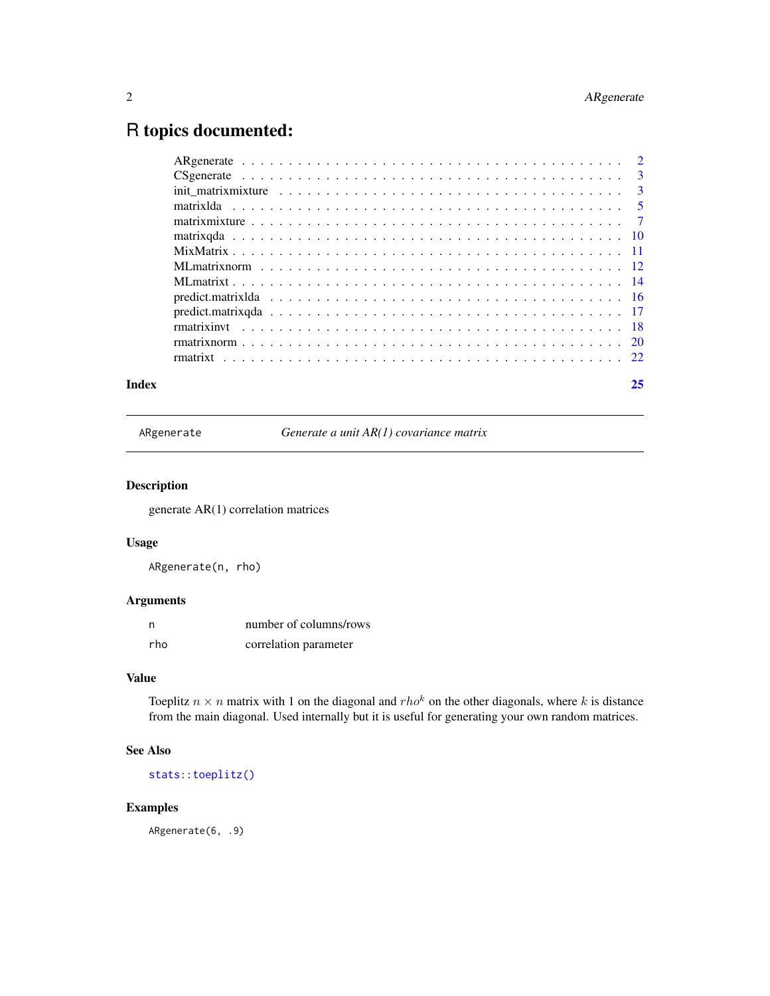## <span id="page-1-0"></span>R topics documented:

| Index | 25 |
|-------|----|
|       |    |
|       |    |
|       |    |
|       |    |
|       |    |
|       |    |
|       |    |
|       |    |
|       |    |
|       |    |
|       |    |
|       |    |
|       |    |
|       |    |

ARgenerate *Generate a unit AR(1) covariance matrix*

#### Description

generate AR(1) correlation matrices

#### Usage

ARgenerate(n, rho)

#### Arguments

| n,  | number of columns/rows |
|-----|------------------------|
| rho | correlation parameter  |

### Value

Toeplitz  $n \times n$  matrix with 1 on the diagonal and  $rho^k$  on the other diagonals, where k is distance from the main diagonal. Used internally but it is useful for generating your own random matrices.

#### See Also

[stats::toeplitz\(\)](#page-0-0)

#### Examples

ARgenerate(6, .9)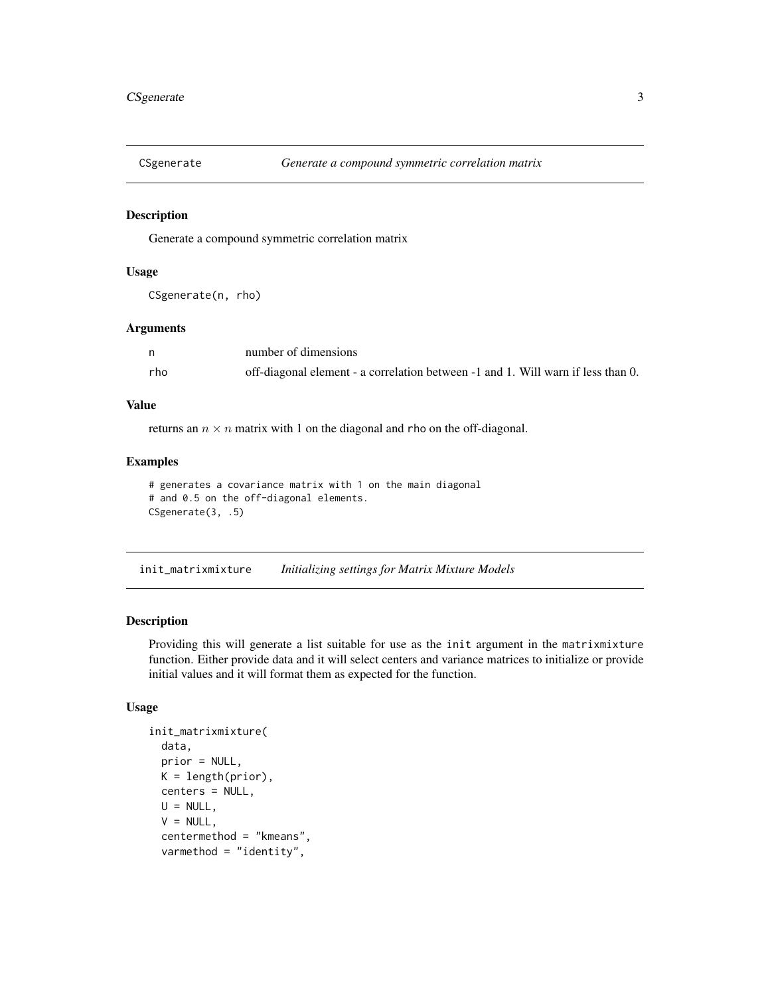<span id="page-2-0"></span>

Generate a compound symmetric correlation matrix

#### Usage

```
CSgenerate(n, rho)
```
#### Arguments

|     | number of dimensions                                                             |
|-----|----------------------------------------------------------------------------------|
| rho | off-diagonal element - a correlation between -1 and 1. Will warn if less than 0. |

#### Value

returns an  $n \times n$  matrix with 1 on the diagonal and rho on the off-diagonal.

#### Examples

```
# generates a covariance matrix with 1 on the main diagonal
# and 0.5 on the off-diagonal elements.
CSgenerate(3, .5)
```
<span id="page-2-1"></span>init\_matrixmixture *Initializing settings for Matrix Mixture Models*

#### Description

Providing this will generate a list suitable for use as the init argument in the matrixmixture function. Either provide data and it will select centers and variance matrices to initialize or provide initial values and it will format them as expected for the function.

#### Usage

```
init_matrixmixture(
  data,
 prior = NULL,
 K = length(prior),
  centers = NULL,
 U = NULL,
  V = NULL,centermethod = "kmeans",
  varmethod = "identity",
```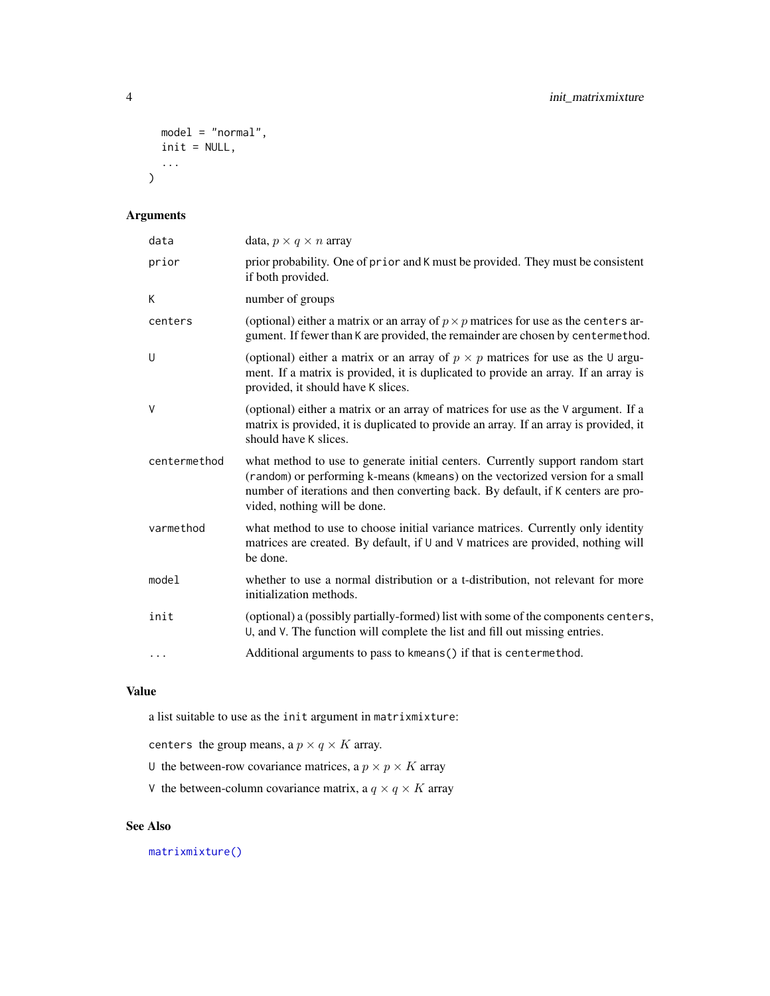```
model = "normal",
  init = NULL,
  ...
\mathcal{L}
```
#### Arguments

| data         | data, $p \times q \times n$ array                                                                                                                                                                                                                                                   |
|--------------|-------------------------------------------------------------------------------------------------------------------------------------------------------------------------------------------------------------------------------------------------------------------------------------|
| prior        | prior probability. One of prior and K must be provided. They must be consistent<br>if both provided.                                                                                                                                                                                |
| K            | number of groups                                                                                                                                                                                                                                                                    |
| centers      | (optional) either a matrix or an array of $p \times p$ matrices for use as the centers ar-<br>gument. If fewer than K are provided, the remainder are chosen by centermethod.                                                                                                       |
| U            | (optional) either a matrix or an array of $p \times p$ matrices for use as the U argu-<br>ment. If a matrix is provided, it is duplicated to provide an array. If an array is<br>provided, it should have K slices.                                                                 |
| $\vee$       | (optional) either a matrix or an array of matrices for use as the V argument. If a<br>matrix is provided, it is duplicated to provide an array. If an array is provided, it<br>should have K slices.                                                                                |
| centermethod | what method to use to generate initial centers. Currently support random start<br>(random) or performing k-means (kmeans) on the vectorized version for a small<br>number of iterations and then converting back. By default, if K centers are pro-<br>vided, nothing will be done. |
| varmethod    | what method to use to choose initial variance matrices. Currently only identity<br>matrices are created. By default, if U and V matrices are provided, nothing will<br>be done.                                                                                                     |
| model        | whether to use a normal distribution or a t-distribution, not relevant for more<br>initialization methods.                                                                                                                                                                          |
| init         | (optional) a (possibly partially-formed) list with some of the components centers,<br>U, and V. The function will complete the list and fill out missing entries.                                                                                                                   |
| $\cdots$     | Additional arguments to pass to kmeans () if that is centermethod.                                                                                                                                                                                                                  |
|              |                                                                                                                                                                                                                                                                                     |

#### Value

a list suitable to use as the init argument in matrixmixture:

centers the group means, a  $p \times q \times K$  array.

- U the between-row covariance matrices, a  $p \times p \times K$  array
- V the between-column covariance matrix, a  $q \times q \times K$  array

#### See Also

[matrixmixture\(\)](#page-6-1)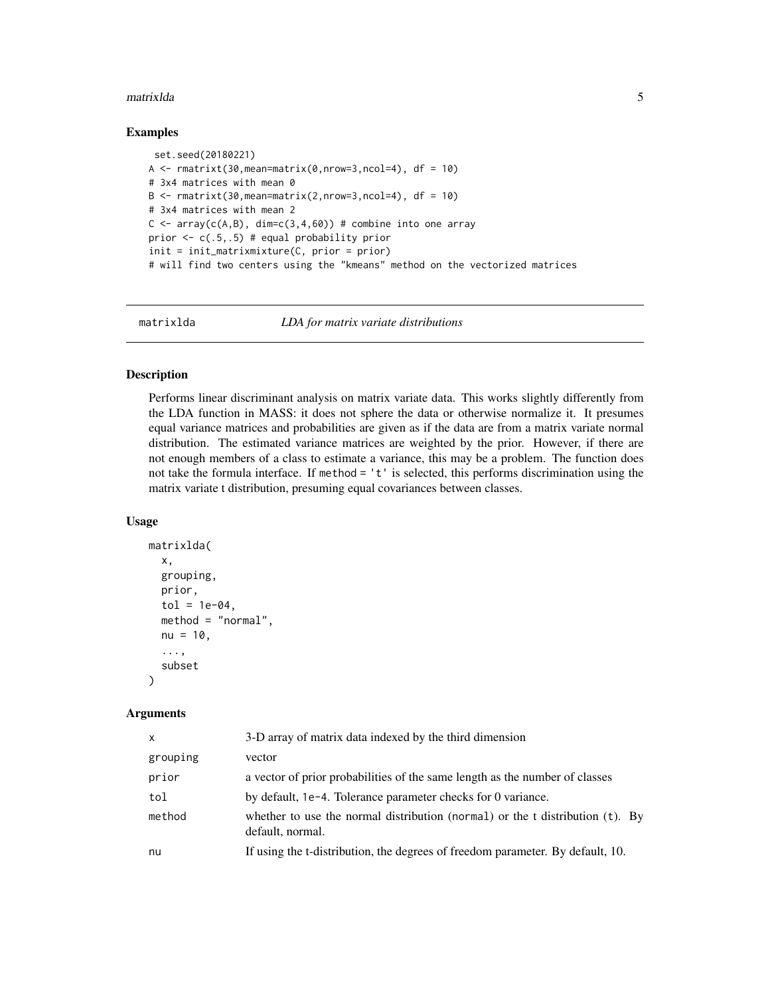#### <span id="page-4-0"></span>matrixlda 5

#### Examples

```
set.seed(20180221)
A \le - rmatrixt(30, mean=matrix(0, nrow=3, ncol=4), df = 10)
# 3x4 matrices with mean 0
B \leq -r matrixt(30, mean=matrix(2, nrow=3, ncol=4), df = 10)
# 3x4 matrices with mean 2
C \leq -\arctan(C(A, B), \dim = c(3, 4, 60)) # combine into one array
prior <- c(.5,.5) # equal probability prior
init = init_matrixmixture(C, prior = prior)
# will find two centers using the "kmeans" method on the vectorized matrices
```
<span id="page-4-1"></span>

matrixlda *LDA for matrix variate distributions*

#### Description

Performs linear discriminant analysis on matrix variate data. This works slightly differently from the LDA function in MASS: it does not sphere the data or otherwise normalize it. It presumes equal variance matrices and probabilities are given as if the data are from a matrix variate normal distribution. The estimated variance matrices are weighted by the prior. However, if there are not enough members of a class to estimate a variance, this may be a problem. The function does not take the formula interface. If method = 't' is selected, this performs discrimination using the matrix variate t distribution, presuming equal covariances between classes.

#### Usage

```
matrixlda(
  x,
  grouping,
  prior,
  tol = 1e-04,method = "normal",
  nu = 10,
  ...,
  subset
\mathcal{L}
```

| X        | 3-D array of matrix data indexed by the third dimension                                              |
|----------|------------------------------------------------------------------------------------------------------|
| grouping | vector                                                                                               |
| prior    | a vector of prior probabilities of the same length as the number of classes                          |
| tol      | by default, 1e-4. Tolerance parameter checks for 0 variance.                                         |
| method   | whether to use the normal distribution (normal) or the t distribution $(t)$ . By<br>default, normal. |
| nu       | If using the t-distribution, the degrees of freedom parameter. By default, 10.                       |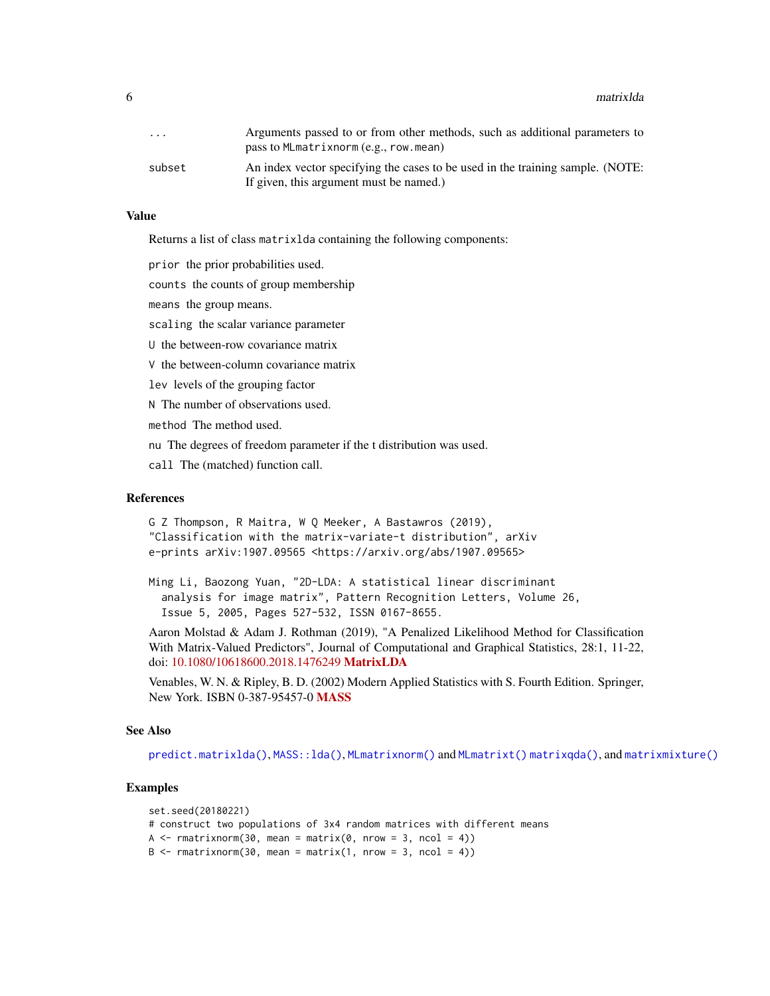<span id="page-5-0"></span>6 matrixlda

| $\cdot$ $\cdot$ $\cdot$ | Arguments passed to or from other methods, such as additional parameters to<br>pass to MLmatrixnorm (e.g., row.mean) |
|-------------------------|----------------------------------------------------------------------------------------------------------------------|
| subset                  | An index vector specifying the cases to be used in the training sample. (NOTE:                                       |
|                         | If given, this argument must be named.)                                                                              |

#### Value

Returns a list of class matrixlda containing the following components:

prior the prior probabilities used.

counts the counts of group membership

means the group means.

scaling the scalar variance parameter

U the between-row covariance matrix

V the between-column covariance matrix

lev levels of the grouping factor

N The number of observations used.

method The method used.

nu The degrees of freedom parameter if the t distribution was used.

call The (matched) function call.

#### References

G Z Thompson, R Maitra, W Q Meeker, A Bastawros (2019), "Classification with the matrix-variate-t distribution", arXiv e-prints arXiv:1907.09565 <https://arxiv.org/abs/1907.09565>

Ming Li, Baozong Yuan, "2D-LDA: A statistical linear discriminant analysis for image matrix", Pattern Recognition Letters, Volume 26, Issue 5, 2005, Pages 527-532, ISSN 0167-8655.

Aaron Molstad & Adam J. Rothman (2019), "A Penalized Likelihood Method for Classification With Matrix-Valued Predictors", Journal of Computational and Graphical Statistics, 28:1, 11-22, doi: [10.1080/10618600.2018.1476249](https://doi.org/10.1080/10618600.2018.1476249) [MatrixLDA](https://CRAN.R-project.org/package=MatrixLDA)

Venables, W. N. & Ripley, B. D. (2002) Modern Applied Statistics with S. Fourth Edition. Springer, New York. ISBN 0-387-95457-0 [MASS](https://CRAN.R-project.org/package=MASS)

#### See Also

[predict.matrixlda\(\)](#page-15-1), [MASS::lda\(\)](#page-0-0), [MLmatrixnorm\(\)](#page-11-1) and [MLmatrixt\(\)](#page-13-1) [matrixqda\(\)](#page-9-1), and [matrixmixture\(\)](#page-6-1)

```
set.seed(20180221)
# construct two populations of 3x4 random matrices with different means
A \leq rmatrixnorm(30, mean = matrix(0, nrow = 3, ncol = 4))
B \leq -r matrixnorm(30, mean = matrix(1, nrow = 3, ncol = 4))
```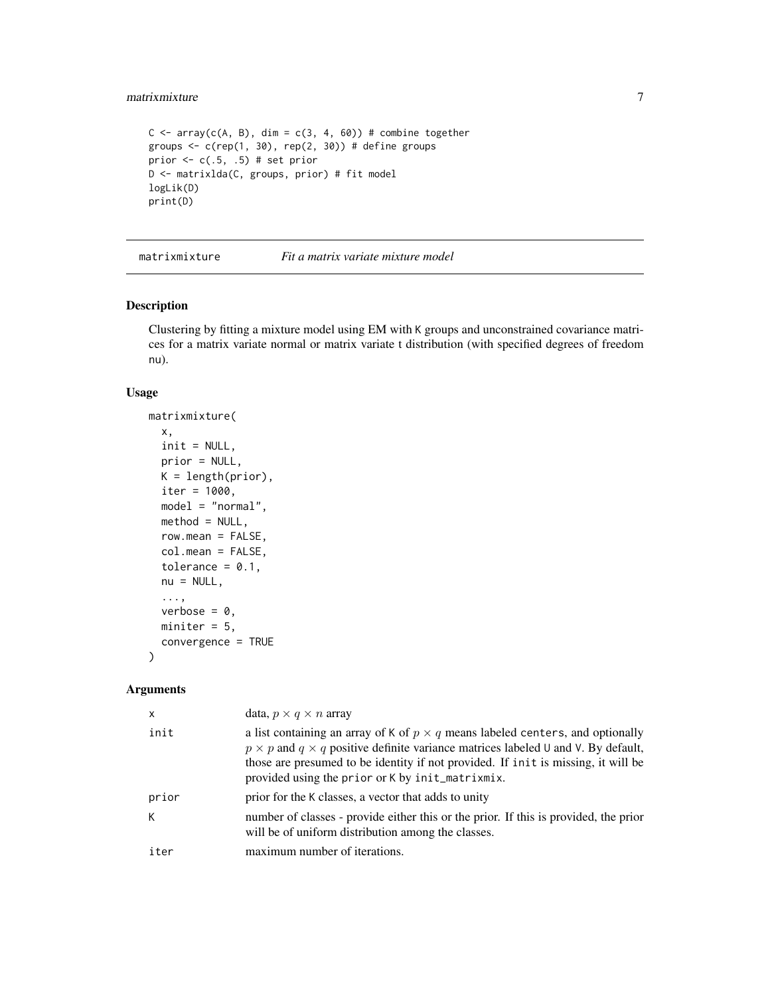#### <span id="page-6-0"></span>matrixmixture 7

```
C \le -\arctan(C(A, B), \dim = c(3, 4, 60)) # combine together
groups \leq c(rep(1, 30), rep(2, 30)) # define groups
prior <-c(.5, .5) # set prior
D <- matrixlda(C, groups, prior) # fit model
logLik(D)
print(D)
```
<span id="page-6-1"></span>matrixmixture *Fit a matrix variate mixture model*

#### Description

Clustering by fitting a mixture model using EM with K groups and unconstrained covariance matrices for a matrix variate normal or matrix variate t distribution (with specified degrees of freedom nu).

#### Usage

```
matrixmixture(
  x,
  init = NULL,
 prior = NULL,
 K = length(prior),
  iter = 1000,model = "normal",
 method = NULL,row.macan = FALSE,col.mean = FALSE,
  tolerance = 0.1,
  nu = NULL,...,
  verbose = 0,
 miniter = 5,
  convergence = TRUE
\mathcal{L}
```

| x     | data, $p \times q \times n$ array                                                                                                                                                                                                                                                                                                |
|-------|----------------------------------------------------------------------------------------------------------------------------------------------------------------------------------------------------------------------------------------------------------------------------------------------------------------------------------|
| init  | a list containing an array of K of $p \times q$ means labeled centers, and optionally<br>$p \times p$ and $q \times q$ positive definite variance matrices labeled U and V. By default,<br>those are presumed to be identity if not provided. If init is missing, it will be<br>provided using the prior or K by init_matrixmix. |
| prior | prior for the K classes, a vector that adds to unity                                                                                                                                                                                                                                                                             |
| К     | number of classes - provide either this or the prior. If this is provided, the prior<br>will be of uniform distribution among the classes.                                                                                                                                                                                       |
| iter  | maximum number of iterations.                                                                                                                                                                                                                                                                                                    |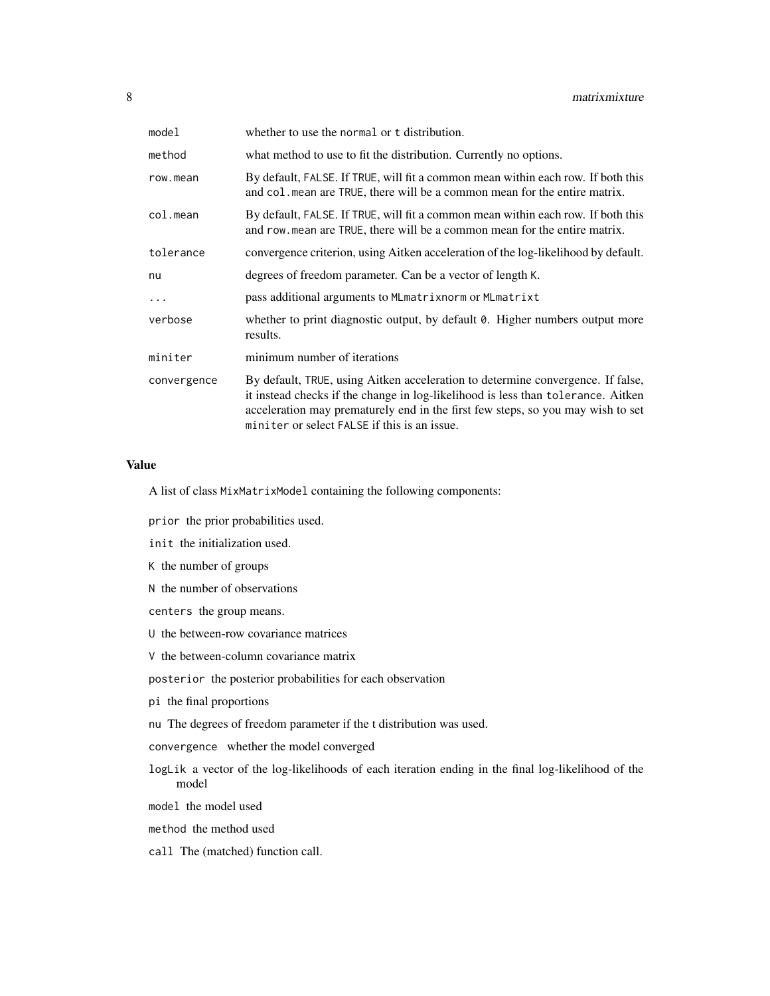| model       | whether to use the normal or t distribution.                                                                                                                                                                                                                                                           |
|-------------|--------------------------------------------------------------------------------------------------------------------------------------------------------------------------------------------------------------------------------------------------------------------------------------------------------|
| method      | what method to use to fit the distribution. Currently no options.                                                                                                                                                                                                                                      |
| row.mean    | By default, FALSE. If TRUE, will fit a common mean within each row. If both this<br>and col . mean are TRUE, there will be a common mean for the entire matrix.                                                                                                                                        |
| col.mean    | By default, FALSE. If TRUE, will fit a common mean within each row. If both this<br>and row mean are TRUE, there will be a common mean for the entire matrix.                                                                                                                                          |
| tolerance   | convergence criterion, using Aitken acceleration of the log-likelihood by default.                                                                                                                                                                                                                     |
| nu          | degrees of freedom parameter. Can be a vector of length K.                                                                                                                                                                                                                                             |
| $\ddots$    | pass additional arguments to MLmatrixnorm or MLmatrixt                                                                                                                                                                                                                                                 |
| verbose     | whether to print diagnostic output, by default $\theta$ . Higher numbers output more<br>results.                                                                                                                                                                                                       |
| miniter     | minimum number of iterations                                                                                                                                                                                                                                                                           |
| convergence | By default, TRUE, using Aitken acceleration to determine convergence. If false,<br>it instead checks if the change in log-likelihood is less than tolerance. Aitken<br>acceleration may prematurely end in the first few steps, so you may wish to set<br>miniter or select FALSE if this is an issue. |

#### Value

A list of class MixMatrixModel containing the following components:

prior the prior probabilities used.

- init the initialization used.
- K the number of groups
- N the number of observations
- centers the group means.
- U the between-row covariance matrices
- V the between-column covariance matrix

posterior the posterior probabilities for each observation

- pi the final proportions
- nu The degrees of freedom parameter if the t distribution was used.
- convergence whether the model converged
- logLik a vector of the log-likelihoods of each iteration ending in the final log-likelihood of the model

model the model used

method the method used

call The (matched) function call.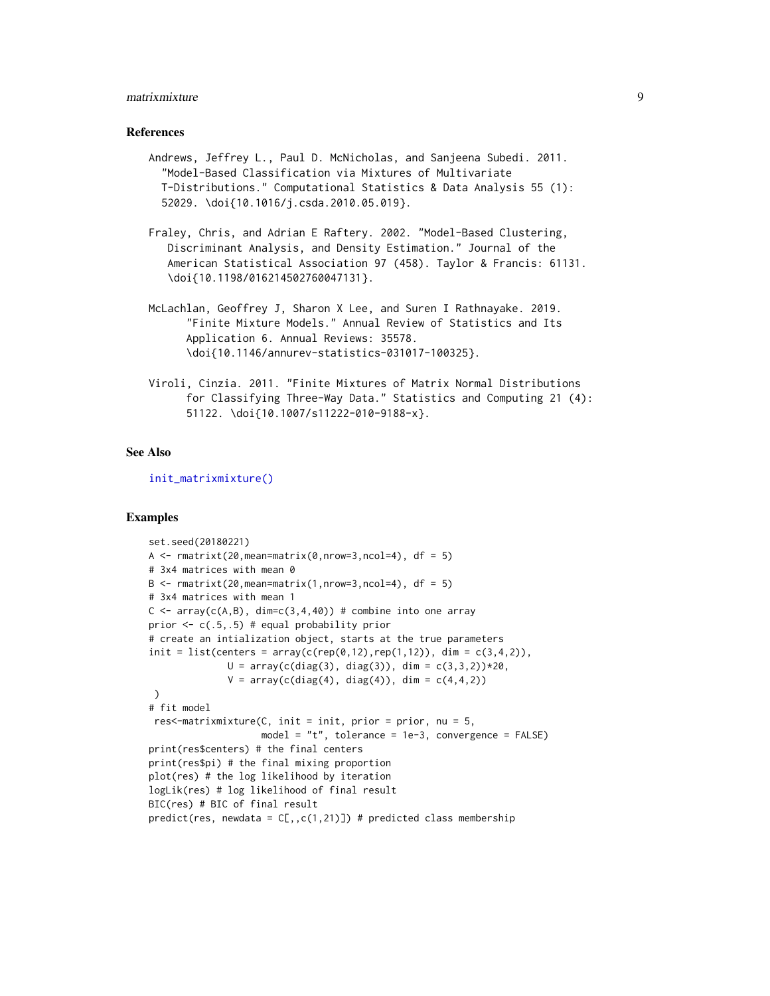#### <span id="page-8-0"></span>matrixmixture 9

#### References

- Andrews, Jeffrey L., Paul D. McNicholas, and Sanjeena Subedi. 2011. "Model-Based Classification via Mixtures of Multivariate T-Distributions." Computational Statistics & Data Analysis 55 (1): 52029. \doi{10.1016/j.csda.2010.05.019}.
- Fraley, Chris, and Adrian E Raftery. 2002. "Model-Based Clustering, Discriminant Analysis, and Density Estimation." Journal of the American Statistical Association 97 (458). Taylor & Francis: 61131. \doi{10.1198/016214502760047131}.
- McLachlan, Geoffrey J, Sharon X Lee, and Suren I Rathnayake. 2019. "Finite Mixture Models." Annual Review of Statistics and Its Application 6. Annual Reviews: 35578. \doi{10.1146/annurev-statistics-031017-100325}.
- Viroli, Cinzia. 2011. "Finite Mixtures of Matrix Normal Distributions for Classifying Three-Way Data." Statistics and Computing 21 (4): 51122. \doi{10.1007/s11222-010-9188-x}.

#### See Also

[init\\_matrixmixture\(\)](#page-2-1)

```
set.seed(20180221)
A \le - rmatrixt(20, mean=matrix(0, nrow=3, ncol=4), df = 5)
# 3x4 matrices with mean 0
B \leq - rmatrixt(20, mean=matrix(1, nrow=3, ncol=4), df = 5)
# 3x4 matrices with mean 1
C \leq -\arctan(C(A, B), \dim = C(3, 4, 40)) # combine into one array
prior \leq c(.5,.5) # equal probability prior
# create an intialization object, starts at the true parameters
init = list(centers = array(c(rep(0, 12), rep(1, 12)), dim = c(3, 4, 2)),U = array(c(diag(3), diag(3)), dim = c(3,3,2))*20,V = array(c(diag(4), diag(4)), dim = c(4, 4, 2)))
# fit model
 res<-matrixmixture(C, init = init, prior = prior, nu = 5,
                    model = "t", tolerance = 1e-3, convergence = FALSE)
print(res$centers) # the final centers
print(res$pi) # the final mixing proportion
plot(res) # the log likelihood by iteration
logLik(res) # log likelihood of final result
BIC(res) # BIC of final result
predict(res, newdata = C[,, c(1,21)]) # predicted class membership
```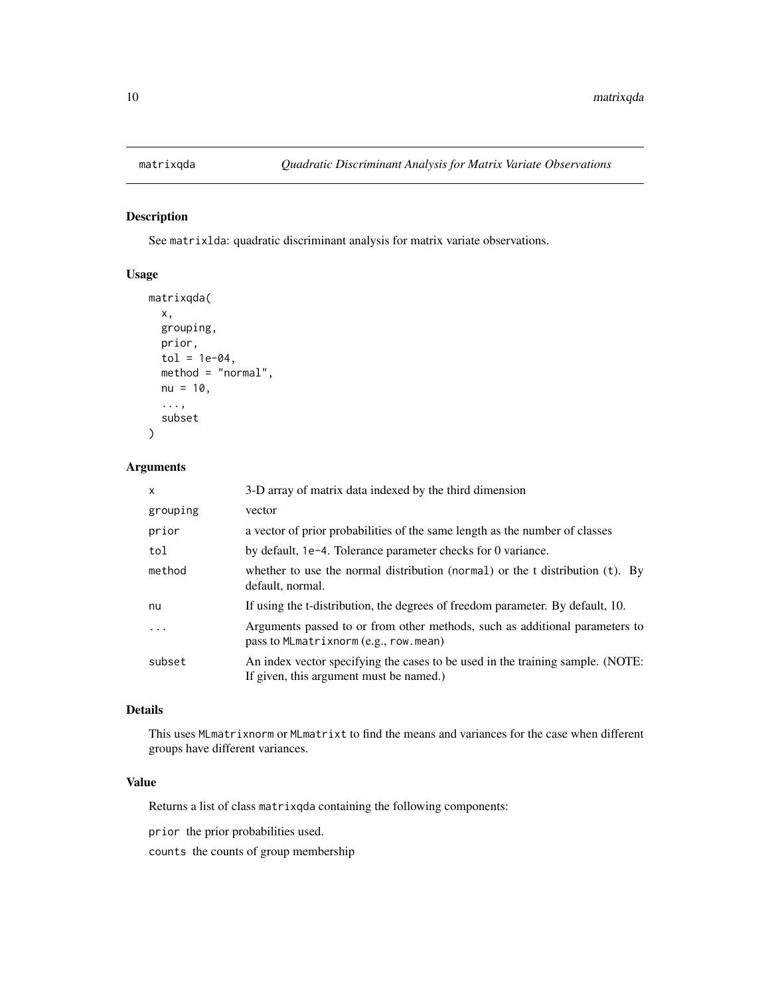<span id="page-9-1"></span><span id="page-9-0"></span>See matrixlda: quadratic discriminant analysis for matrix variate observations.

#### Usage

```
matrixqda(
 x,
 grouping,
 prior,
  tol = 1e-04,method = "normal",
 nu = 10,
  ...,
  subset
)
```
#### Arguments

| $\mathsf{x}$ | 3-D array of matrix data indexed by the third dimension                                                                   |
|--------------|---------------------------------------------------------------------------------------------------------------------------|
| grouping     | vector                                                                                                                    |
| prior        | a vector of prior probabilities of the same length as the number of classes                                               |
| tol          | by default, 1e-4. Tolerance parameter checks for 0 variance.                                                              |
| method       | whether to use the normal distribution (normal) or the t distribution $(t)$ . By<br>default, normal.                      |
| nu           | If using the t-distribution, the degrees of freedom parameter. By default, 10.                                            |
| .            | Arguments passed to or from other methods, such as additional parameters to<br>pass to MLmatrixnorm (e.g., row.mean)      |
| subset       | An index vector specifying the cases to be used in the training sample. (NOTE:<br>If given, this argument must be named.) |

#### Details

This uses MLmatrixnorm or MLmatrixt to find the means and variances for the case when different groups have different variances.

#### Value

Returns a list of class matrixqda containing the following components:

prior the prior probabilities used.

counts the counts of group membership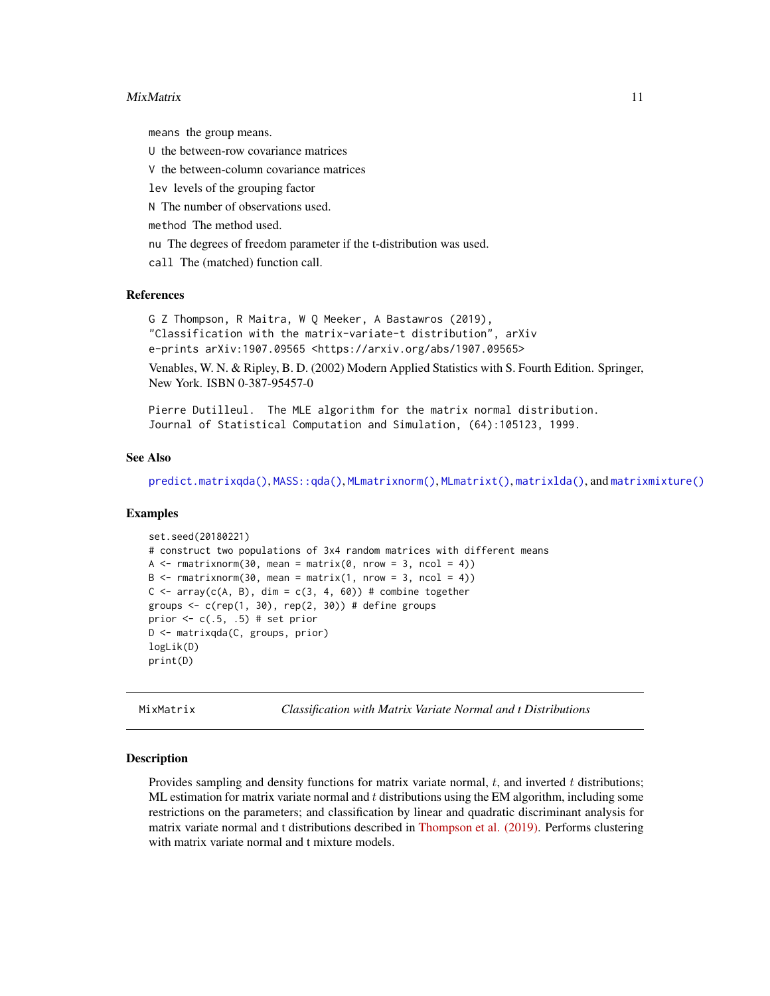#### <span id="page-10-0"></span>MixMatrix 11

means the group means.

U the between-row covariance matrices

V the between-column covariance matrices

lev levels of the grouping factor

N The number of observations used.

method The method used.

nu The degrees of freedom parameter if the t-distribution was used.

call The (matched) function call.

#### References

G Z Thompson, R Maitra, W Q Meeker, A Bastawros (2019), "Classification with the matrix-variate-t distribution", arXiv e-prints arXiv:1907.09565 <https://arxiv.org/abs/1907.09565>

Venables, W. N. & Ripley, B. D. (2002) Modern Applied Statistics with S. Fourth Edition. Springer, New York. ISBN 0-387-95457-0

Pierre Dutilleul. The MLE algorithm for the matrix normal distribution. Journal of Statistical Computation and Simulation, (64):105123, 1999.

#### See Also

[predict.matrixqda\(\)](#page-16-1), [MASS::qda\(\)](#page-0-0), [MLmatrixnorm\(\)](#page-11-1), [MLmatrixt\(\)](#page-13-1), [matrixlda\(\)](#page-4-1), and [matrixmixture\(\)](#page-6-1)

#### Examples

```
set.seed(20180221)
# construct two populations of 3x4 random matrices with different means
A \leq rmatrixnorm(30, mean = matrix(0, nrow = 3, ncol = 4))
B \leq -r matrixnorm(30, mean = matrix(1, nrow = 3, ncol = 4))
C \le -\arctan(C(A, B), \text{dim} = c(3, 4, 60)) # combine together
groups \leq c(rep(1, 30), rep(2, 30)) # define groups
prior \leq c(.5, .5) # set prior
D <- matrixqda(C, groups, prior)
logLik(D)
print(D)
```
MixMatrix *Classification with Matrix Variate Normal and t Distributions*

#### Description

Provides sampling and density functions for matrix variate normal,  $t$ , and inverted  $t$  distributions; ML estimation for matrix variate normal and  $t$  distributions using the EM algorithm, including some restrictions on the parameters; and classification by linear and quadratic discriminant analysis for matrix variate normal and t distributions described in [Thompson et al. \(2019\).](https://arxiv.org/abs/1907.09565) Performs clustering with matrix variate normal and t mixture models.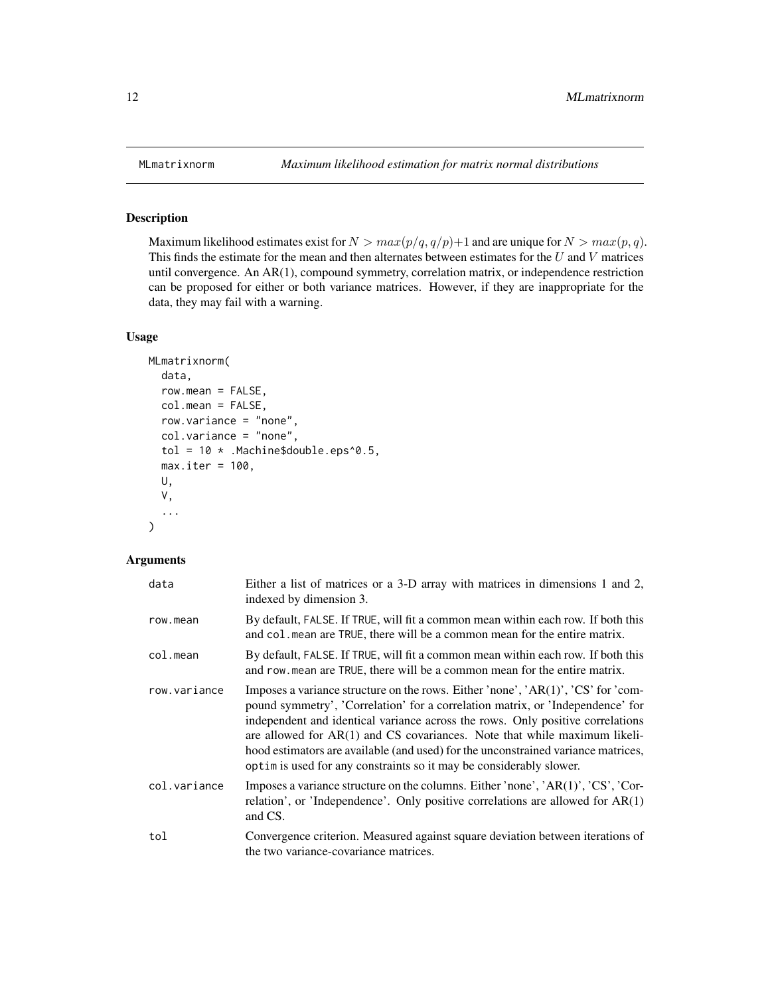Maximum likelihood estimates exist for  $N > max(p/q, q/p) + 1$  and are unique for  $N > max(p, q)$ . This finds the estimate for the mean and then alternates between estimates for the  $U$  and  $V$  matrices until convergence. An AR(1), compound symmetry, correlation matrix, or independence restriction can be proposed for either or both variance matrices. However, if they are inappropriate for the data, they may fail with a warning.

#### Usage

```
MLmatrixnorm(
  data,
  row.mean = FALSE,
  col.mean = FALSE,
  row.variance = "none",
  col.variance = "none",
  tol = 10 *. Machine$double.eps^0.5,
 max.iter = 100,U,
  V,
  ...
\mathcal{E}
```

| data         | Either a list of matrices or a 3-D array with matrices in dimensions 1 and 2,<br>indexed by dimension 3.                                                                                                                                                                                                                                                                                                                                                                                        |
|--------------|-------------------------------------------------------------------------------------------------------------------------------------------------------------------------------------------------------------------------------------------------------------------------------------------------------------------------------------------------------------------------------------------------------------------------------------------------------------------------------------------------|
| row.mean     | By default, FALSE. If TRUE, will fit a common mean within each row. If both this<br>and col. mean are TRUE, there will be a common mean for the entire matrix.                                                                                                                                                                                                                                                                                                                                  |
| col.mean     | By default, FALSE. If TRUE, will fit a common mean within each row. If both this<br>and row mean are TRUE, there will be a common mean for the entire matrix.                                                                                                                                                                                                                                                                                                                                   |
| row.variance | Imposes a variance structure on the rows. Either 'none', 'AR(1)', 'CS' for 'com-<br>pound symmetry', 'Correlation' for a correlation matrix, or 'Independence' for<br>independent and identical variance across the rows. Only positive correlations<br>are allowed for $AR(1)$ and CS covariances. Note that while maximum likeli-<br>hood estimators are available (and used) for the unconstrained variance matrices,<br>optim is used for any constraints so it may be considerably slower. |
| col.variance | Imposes a variance structure on the columns. Either 'none', 'AR(1)', 'CS', 'Cor-<br>relation', or 'Independence'. Only positive correlations are allowed for $AR(1)$<br>and CS.                                                                                                                                                                                                                                                                                                                 |
| tol          | Convergence criterion. Measured against square deviation between iterations of<br>the two variance-covariance matrices.                                                                                                                                                                                                                                                                                                                                                                         |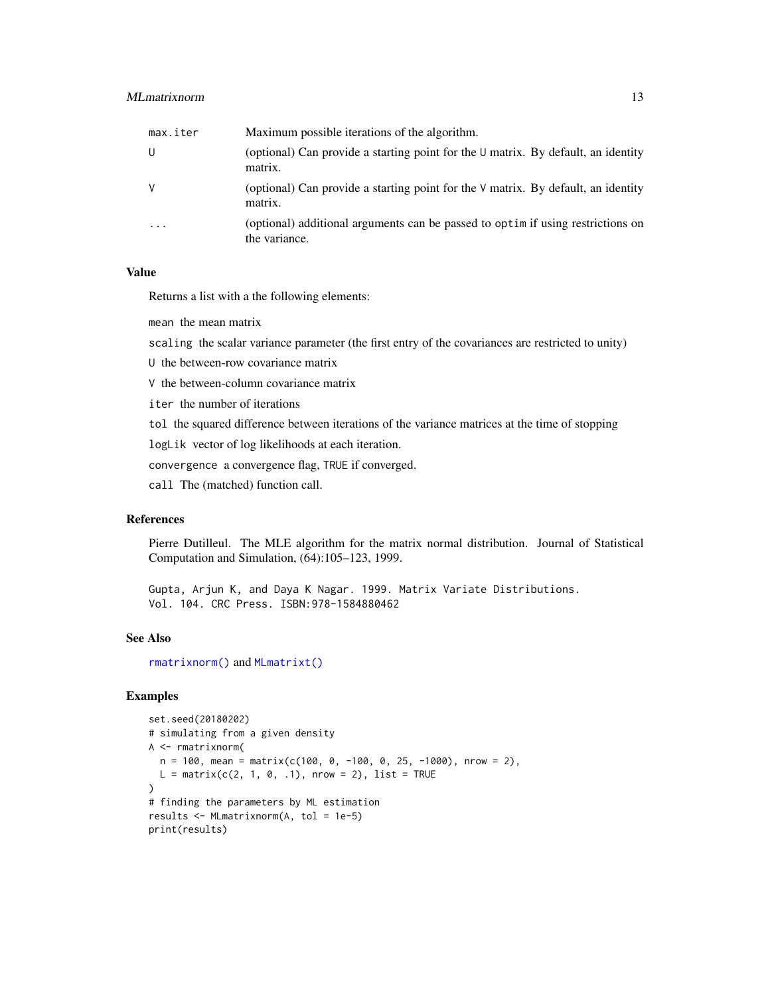#### <span id="page-12-0"></span>MLmatrixnorm 13

| max.iter                | Maximum possible iterations of the algorithm.                                                     |
|-------------------------|---------------------------------------------------------------------------------------------------|
| U                       | (optional) Can provide a starting point for the $\cup$ matrix. By default, an identity<br>matrix. |
| V                       | (optional) Can provide a starting point for the $\vee$ matrix. By default, an identity<br>matrix. |
| $\cdot$ $\cdot$ $\cdot$ | (optional) additional arguments can be passed to optim if using restrictions on<br>the variance.  |

#### Value

Returns a list with a the following elements:

mean the mean matrix

scaling the scalar variance parameter (the first entry of the covariances are restricted to unity)

U the between-row covariance matrix

V the between-column covariance matrix

iter the number of iterations

tol the squared difference between iterations of the variance matrices at the time of stopping

logLik vector of log likelihoods at each iteration.

convergence a convergence flag, TRUE if converged.

call The (matched) function call.

#### References

Pierre Dutilleul. The MLE algorithm for the matrix normal distribution. Journal of Statistical Computation and Simulation, (64):105–123, 1999.

Gupta, Arjun K, and Daya K Nagar. 1999. Matrix Variate Distributions. Vol. 104. CRC Press. ISBN:978-1584880462

#### See Also

[rmatrixnorm\(\)](#page-19-1) and [MLmatrixt\(\)](#page-13-1)

```
set.seed(20180202)
# simulating from a given density
A <- rmatrixnorm(
  n = 100, mean = matrix(c(100, 0, -100, 0, 25, -1000), nrow = 2),
  L = matrix(c(2, 1, 0, .1), nrow = 2), list = TRUE)
# finding the parameters by ML estimation
results <- MLmatrixnorm(A, tol = 1e-5)
print(results)
```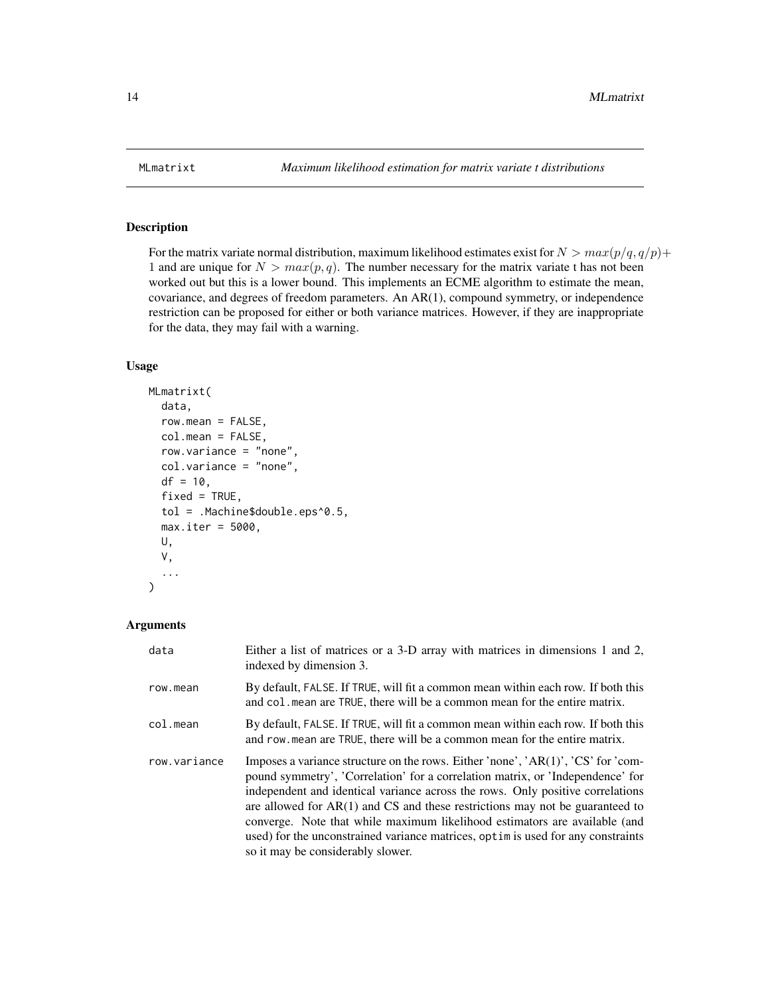For the matrix variate normal distribution, maximum likelihood estimates exist for  $N > max(p/q, q/p)$ + 1 and are unique for  $N > max(p, q)$ . The number necessary for the matrix variate t has not been worked out but this is a lower bound. This implements an ECME algorithm to estimate the mean, covariance, and degrees of freedom parameters. An AR(1), compound symmetry, or independence restriction can be proposed for either or both variance matrices. However, if they are inappropriate for the data, they may fail with a warning.

#### Usage

```
MLmatrixt(
  data,
  row_mean = FALSE,col.mean = FALSE,
  row.variance = "none",
  col.variance = "none",
  df = 10,
  fixed = TRUE,tol = .Machine$double.eps^0.5,
  max.iter = 5000,U,
  V,
  ...
)
```

| data         | Either a list of matrices or a 3-D array with matrices in dimensions 1 and 2,<br>indexed by dimension 3.                                                                                                                                                                                                                                                                                                                                                                                                                                      |
|--------------|-----------------------------------------------------------------------------------------------------------------------------------------------------------------------------------------------------------------------------------------------------------------------------------------------------------------------------------------------------------------------------------------------------------------------------------------------------------------------------------------------------------------------------------------------|
| row.mean     | By default, FALSE. If TRUE, will fit a common mean within each row. If both this<br>and col. mean are TRUE, there will be a common mean for the entire matrix.                                                                                                                                                                                                                                                                                                                                                                                |
| col.mean     | By default, FALSE. If TRUE, will fit a common mean within each row. If both this<br>and row, mean are TRUE, there will be a common mean for the entire matrix.                                                                                                                                                                                                                                                                                                                                                                                |
| row.variance | Imposes a variance structure on the rows. Either 'none', 'AR(1)', 'CS' for 'com-<br>pound symmetry', 'Correlation' for a correlation matrix, or 'Independence' for<br>independent and identical variance across the rows. Only positive correlations<br>are allowed for $AR(1)$ and CS and these restrictions may not be guaranteed to<br>converge. Note that while maximum likelihood estimators are available (and<br>used) for the unconstrained variance matrices, optim is used for any constraints<br>so it may be considerably slower. |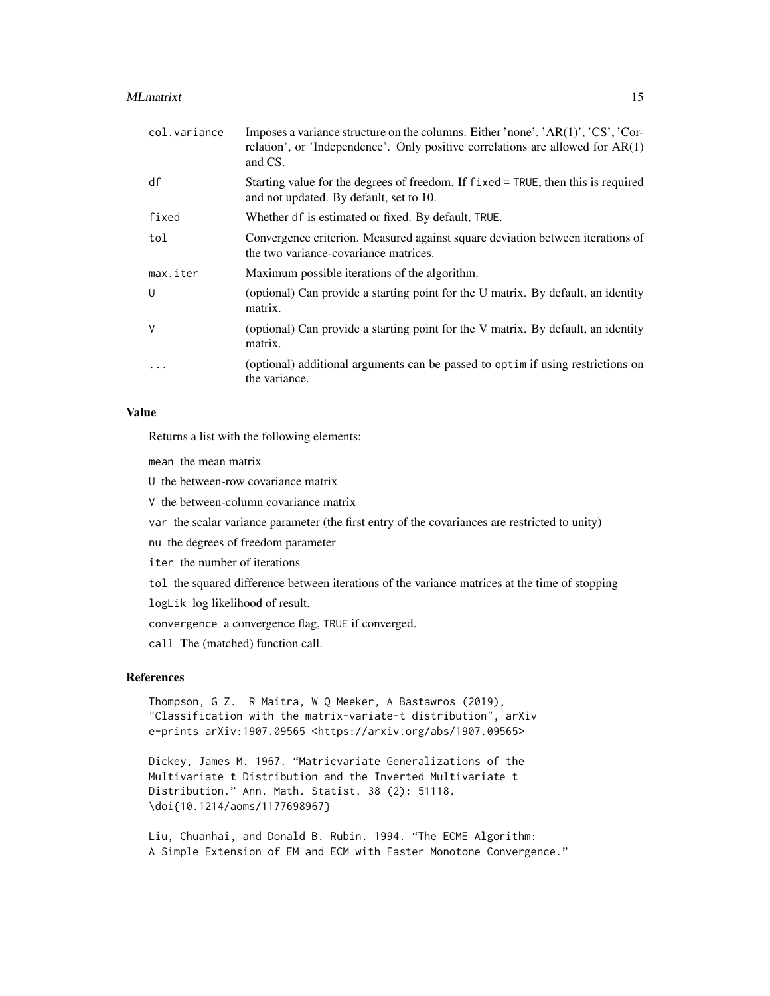#### MLmatrixt 15

| col.variance | Imposes a variance structure on the columns. Either 'none', 'AR(1)', 'CS', 'Cor-<br>relation', or 'Independence'. Only positive correlations are allowed for AR(1)<br>and CS. |
|--------------|-------------------------------------------------------------------------------------------------------------------------------------------------------------------------------|
| df           | Starting value for the degrees of freedom. If fixed = TRUE, then this is required<br>and not updated. By default, set to 10.                                                  |
| fixed        | Whether df is estimated or fixed. By default, TRUE.                                                                                                                           |
| tol          | Convergence criterion. Measured against square deviation between iterations of<br>the two variance-covariance matrices.                                                       |
| max.iter     | Maximum possible iterations of the algorithm.                                                                                                                                 |
| U            | (optional) Can provide a starting point for the U matrix. By default, an identity<br>matrix.                                                                                  |
| V            | (optional) Can provide a starting point for the V matrix. By default, an identity<br>matrix.                                                                                  |
|              | (optional) additional arguments can be passed to optim if using restrictions on<br>the variance.                                                                              |

#### Value

Returns a list with the following elements:

mean the mean matrix

U the between-row covariance matrix

V the between-column covariance matrix

var the scalar variance parameter (the first entry of the covariances are restricted to unity)

nu the degrees of freedom parameter

iter the number of iterations

tol the squared difference between iterations of the variance matrices at the time of stopping

logLik log likelihood of result.

convergence a convergence flag, TRUE if converged.

call The (matched) function call.

#### References

Thompson, G Z. R Maitra, W Q Meeker, A Bastawros (2019), "Classification with the matrix-variate-t distribution", arXiv e-prints arXiv:1907.09565 <https://arxiv.org/abs/1907.09565>

Dickey, James M. 1967. "Matricvariate Generalizations of the Multivariate t Distribution and the Inverted Multivariate t Distribution." Ann. Math. Statist. 38 (2): 51118. \doi{10.1214/aoms/1177698967}

Liu, Chuanhai, and Donald B. Rubin. 1994. "The ECME Algorithm: A Simple Extension of EM and ECM with Faster Monotone Convergence."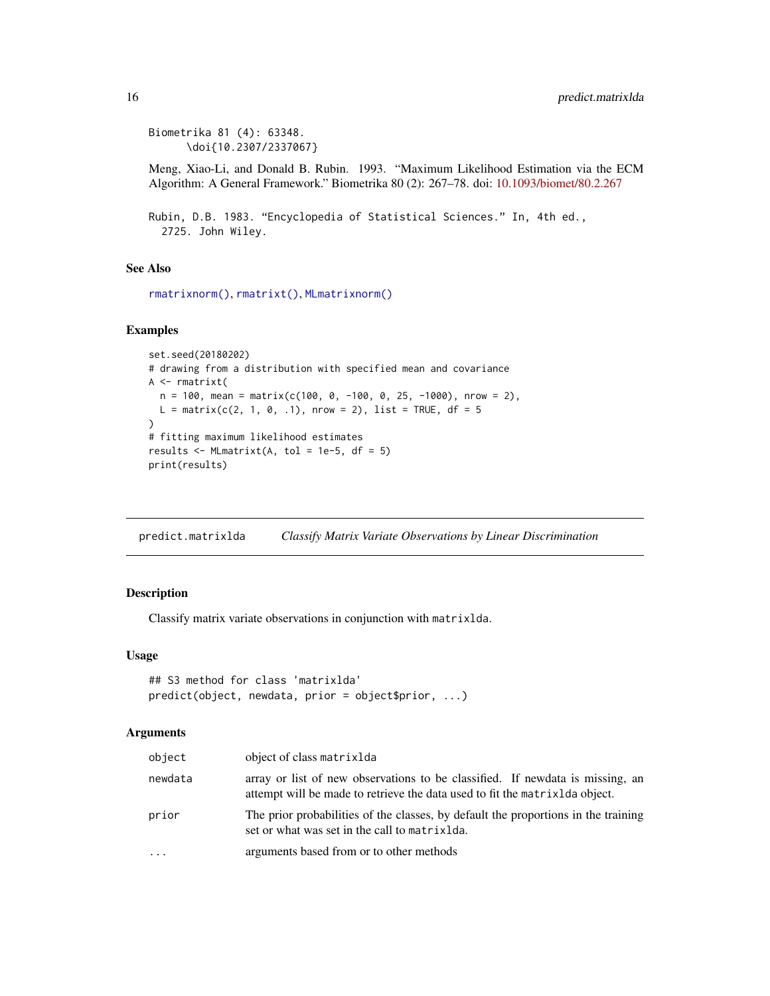```
Biometrika 81 (4): 63348.
      \doi{10.2307/2337067}
```
Meng, Xiao-Li, and Donald B. Rubin. 1993. "Maximum Likelihood Estimation via the ECM Algorithm: A General Framework." Biometrika 80 (2): 267–78. doi: [10.1093/biomet/80.2.267](https://doi.org/10.1093/biomet/80.2.267)

```
Rubin, D.B. 1983. "Encyclopedia of Statistical Sciences." In, 4th ed.,
  2725. John Wiley.
```
#### See Also

```
rmatrixnorm(), rmatrixt(), MLmatrixnorm()
```
#### Examples

```
set.seed(20180202)
# drawing from a distribution with specified mean and covariance
A <- rmatrixt(
  n = 100, mean = matrix(c(100, 0, -100, 0, 25, -1000), nrow = 2),
  L = matrix(c(2, 1, 0, .1), nrow = 2), list = TRUE, df = 5)
# fitting maximum likelihood estimates
results \leq MLmatrixt(A, tol = 1e-5, df = 5)
print(results)
```
<span id="page-15-1"></span>predict.matrixlda *Classify Matrix Variate Observations by Linear Discrimination*

#### Description

Classify matrix variate observations in conjunction with matrixlda.

#### Usage

```
## S3 method for class 'matrixlda'
predict(object, newdata, prior = object$prior, ...)
```

| object   | object of class matrixlda                                                                                                                                 |
|----------|-----------------------------------------------------------------------------------------------------------------------------------------------------------|
| newdata  | array or list of new observations to be classified. If newdata is missing, an<br>attempt will be made to retrieve the data used to fit the matrix object. |
| prior    | The prior probabilities of the classes, by default the proportions in the training<br>set or what was set in the call to matrixlda.                       |
| $\ddots$ | arguments based from or to other methods                                                                                                                  |

<span id="page-15-0"></span>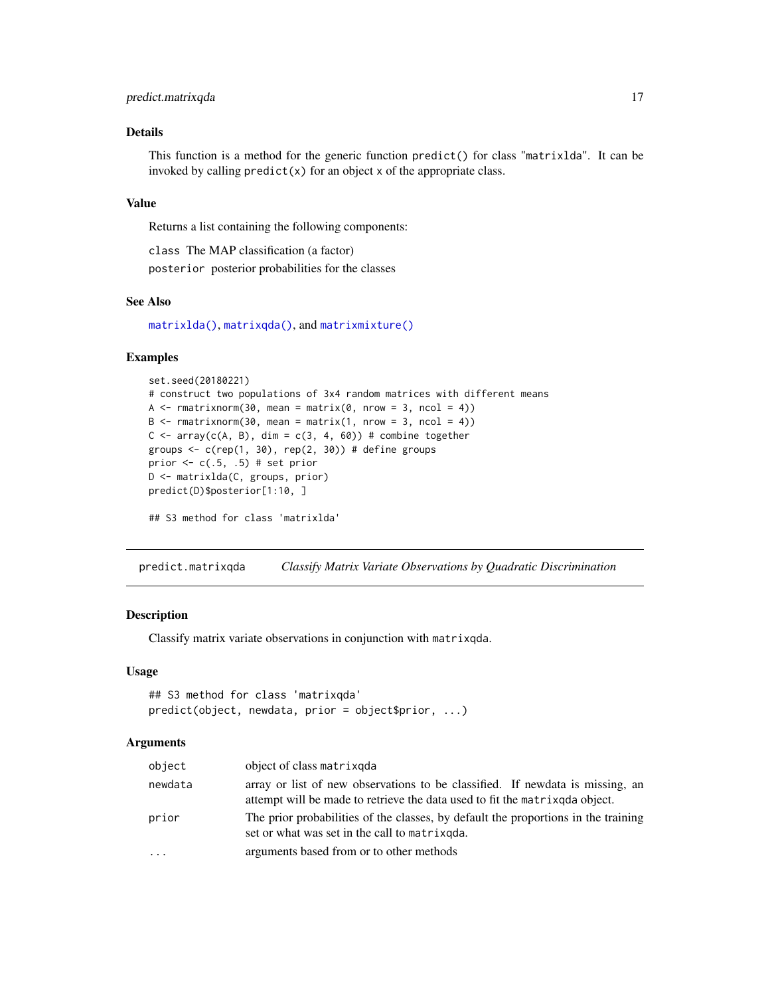#### <span id="page-16-0"></span>predict.matrixqda 17

#### Details

This function is a method for the generic function predict() for class "matrixlda". It can be invoked by calling  $predict(x)$  for an object x of the appropriate class.

#### Value

Returns a list containing the following components:

class The MAP classification (a factor) posterior posterior probabilities for the classes

#### See Also

[matrixlda\(\)](#page-4-1), [matrixqda\(\)](#page-9-1), and [matrixmixture\(\)](#page-6-1)

#### Examples

```
set.seed(20180221)
# construct two populations of 3x4 random matrices with different means
A \leq rmatrixnorm(30, mean = matrix(0, nrow = 3, ncol = 4))
B \leq -r matrixnorm(30, mean = matrix(1, nrow = 3, ncol = 4))
C <- array(c(A, B), dim = c(3, 4, 60)) # combine together
groups \leq c(rep(1, 30), rep(2, 30)) # define groups
prior <-c(.5, .5) # set prior
D <- matrixlda(C, groups, prior)
predict(D)$posterior[1:10, ]
## S3 method for class 'matrixlda'
```
<span id="page-16-1"></span>predict.matrixqda *Classify Matrix Variate Observations by Quadratic Discrimination*

#### Description

Classify matrix variate observations in conjunction with matrixqda.

#### Usage

```
## S3 method for class 'matrixqda'
predict(object, newdata, prior = object$prior, ...)
```

| object  | object of class matrixqda                                                                                                                                     |
|---------|---------------------------------------------------------------------------------------------------------------------------------------------------------------|
| newdata | array or list of new observations to be classified. If newdata is missing, an<br>attempt will be made to retrieve the data used to fit the matrix and object. |
| prior   | The prior probabilities of the classes, by default the proportions in the training<br>set or what was set in the call to matrix god.                          |
| $\cdot$ | arguments based from or to other methods                                                                                                                      |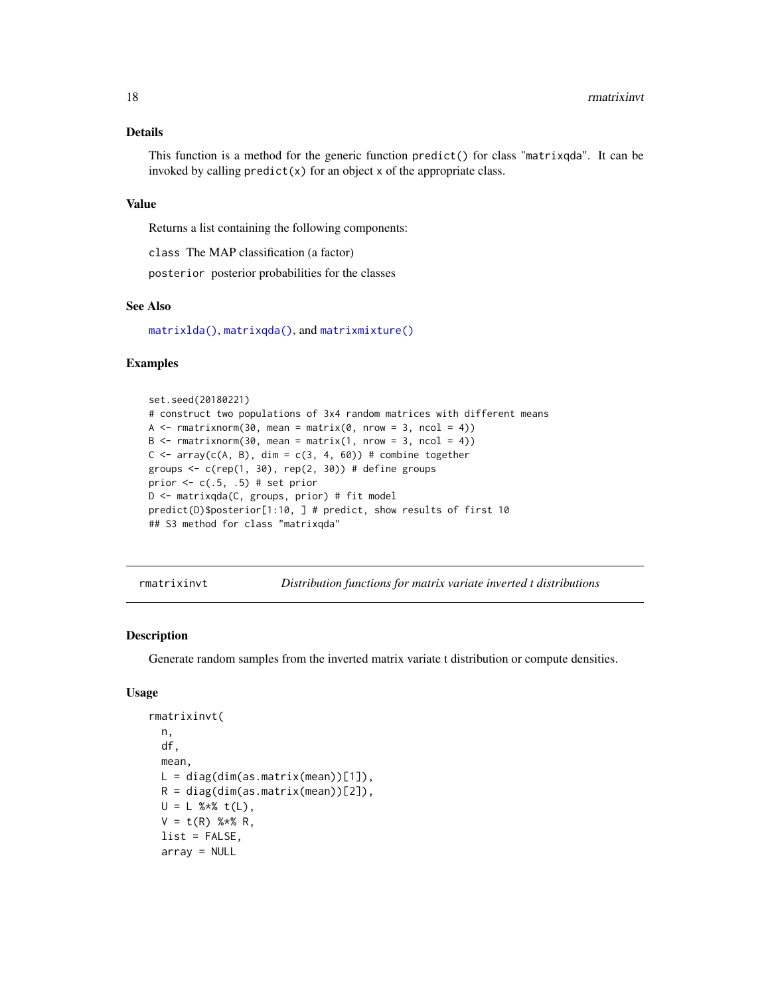#### <span id="page-17-0"></span>Details

This function is a method for the generic function predict() for class "matrixqda". It can be invoked by calling  $predict(x)$  for an object x of the appropriate class.

#### Value

Returns a list containing the following components:

class The MAP classification (a factor)

posterior posterior probabilities for the classes

#### See Also

[matrixlda\(\)](#page-4-1), [matrixqda\(\)](#page-9-1), and [matrixmixture\(\)](#page-6-1)

#### Examples

```
set.seed(20180221)
# construct two populations of 3x4 random matrices with different means
A \le - rmatrixnorm(30, mean = matrix(0, nrow = 3, ncol = 4))
B \leq -r matrixnorm(30, mean = matrix(1, nrow = 3, ncol = 4))
C \le -\arctan(C(A, B), \dim = c(3, 4, 60)) # combine together
groups \leq c(rep(1, 30), rep(2, 30)) # define groups
prior <-c(.5, .5) # set prior
D <- matrixqda(C, groups, prior) # fit model
predict(D)$posterior[1:10, ] # predict, show results of first 10
## S3 method for class "matrixqda"
```
<span id="page-17-1"></span>rmatrixinvt *Distribution functions for matrix variate inverted t distributions*

#### Description

Generate random samples from the inverted matrix variate t distribution or compute densities.

#### Usage

```
rmatrixinvt(
 n,
  df,
 mean,
 L = diag(dim(as.matrix(mean))[1]),R = diag(dim(as.matrix(mean))[2]),U = L %*% t(L),
  V = t(R) %*% R,
  list = FALSE,
  array = NULL
```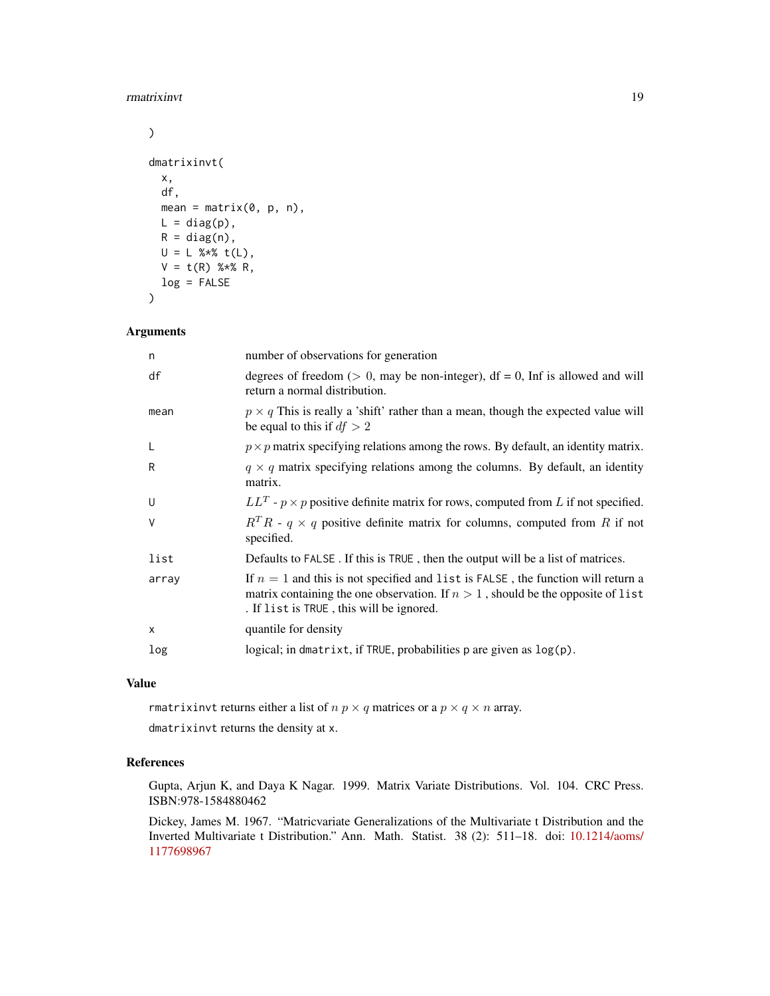#### rmatrixinvt the contract of the contract of the contract of the contract of the contract of the contract of the contract of the contract of the contract of the contract of the contract of the contract of the contract of th

```
\mathcal{L}dmatrixinvt(
  x,
 df,
 mean = matrix(0, p, n),
 L = diag(p),
 R = diag(n),
 U = L %*% t(L),V = t(R) %*% R,
 log = FALSE
\mathcal{E}
```
#### Arguments

| n        | number of observations for generation                                                                                                                                                                                |
|----------|----------------------------------------------------------------------------------------------------------------------------------------------------------------------------------------------------------------------|
| df       | degrees of freedom ( $> 0$ , may be non-integer), df = 0, Inf is allowed and will<br>return a normal distribution.                                                                                                   |
| mean     | $p \times q$ This is really a 'shift' rather than a mean, though the expected value will<br>be equal to this if $df > 2$                                                                                             |
| L        | $p \times p$ matrix specifying relations among the rows. By default, an identity matrix.                                                                                                                             |
| R        | $q \times q$ matrix specifying relations among the columns. By default, an identity<br>matrix.                                                                                                                       |
| U        | $LL^T$ - $p \times p$ positive definite matrix for rows, computed from L if not specified.                                                                                                                           |
| V        | $R^TR$ - $q \times q$ positive definite matrix for columns, computed from R if not<br>specified.                                                                                                                     |
| list     | Defaults to FALSE. If this is TRUE, then the output will be a list of matrices.                                                                                                                                      |
| array    | If $n = 1$ and this is not specified and list is FALSE, the function will return a<br>matrix containing the one observation. If $n > 1$ , should be the opposite of list<br>. If list is TRUE, this will be ignored. |
| $\times$ | quantile for density                                                                                                                                                                                                 |
| log      | logical; in dmatrixt, if TRUE, probabilities p are given as log(p).                                                                                                                                                  |
|          |                                                                                                                                                                                                                      |

#### Value

rmatrixinvt returns either a list of  $n \, p \times q$  matrices or a  $p \times q \times n$  array.

dmatrixinvt returns the density at x.

#### References

Gupta, Arjun K, and Daya K Nagar. 1999. Matrix Variate Distributions. Vol. 104. CRC Press. ISBN:978-1584880462

Dickey, James M. 1967. "Matricvariate Generalizations of the Multivariate t Distribution and the Inverted Multivariate t Distribution." Ann. Math. Statist. 38 (2): 511–18. doi: [10.1214/aoms/](https://doi.org/10.1214/aoms/1177698967) [1177698967](https://doi.org/10.1214/aoms/1177698967)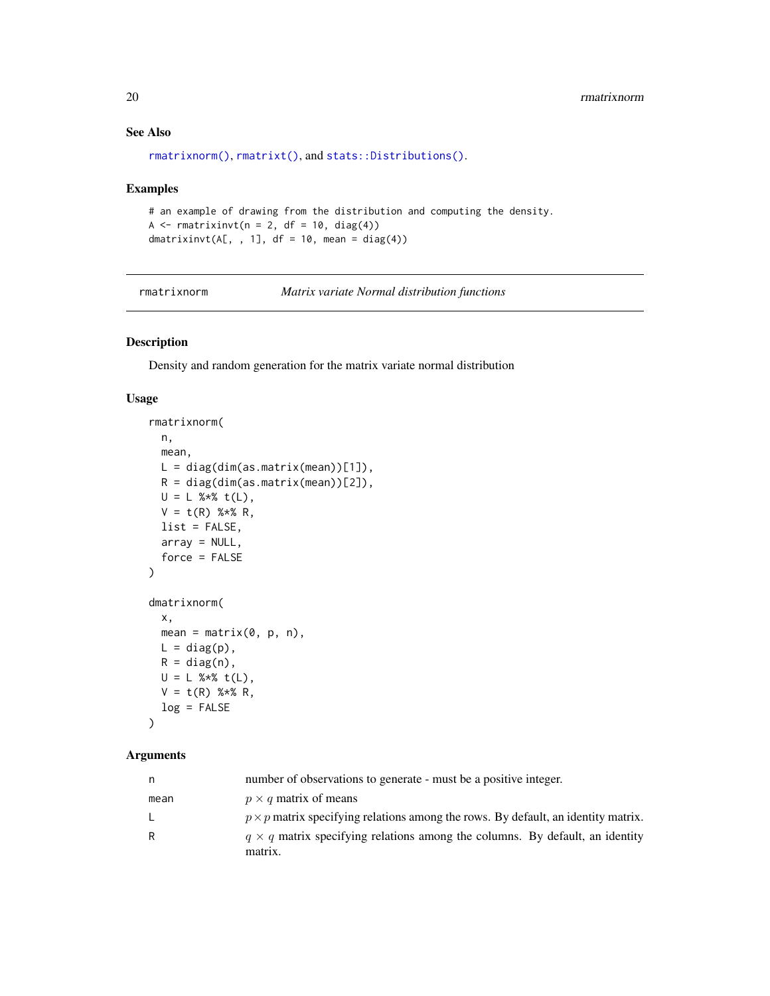#### See Also

```
rmatrixnorm(), rmatrixt(), and stats::Distributions().
```
#### Examples

```
# an example of drawing from the distribution and computing the density.
A \leq rmatrixinvt(n = 2, df = 10, diag(4))
dmatrixinvt(A[, , 1], df = 10, mean = diag(4))
```
<span id="page-19-1"></span>rmatrixnorm *Matrix variate Normal distribution functions*

#### Description

Density and random generation for the matrix variate normal distribution

#### Usage

```
rmatrixnorm(
 n,
 mean,
 L = diag(dim(as.matrix(mean))[1]),R = diag(dim(as.matrix(mean))[2]),U = L %*% t(L),
 V = t(R) %*% R,
 list = FALSE,
 array = NULL,
  force = FALSE
)
dmatrixnorm(
 x,
 mean = matrix(0, p, n),
 L = diag(p),
 R = diag(n),
 U = L %*% t(L),
 V = t(R) %*% R,
 log = FALSE\mathcal{L}
```

| n    | number of observations to generate - must be a positive integer.                               |
|------|------------------------------------------------------------------------------------------------|
| mean | $p \times q$ matrix of means                                                                   |
| L.   | $p \times p$ matrix specifying relations among the rows. By default, an identity matrix.       |
| R    | $q \times q$ matrix specifying relations among the columns. By default, an identity<br>matrix. |

<span id="page-19-0"></span>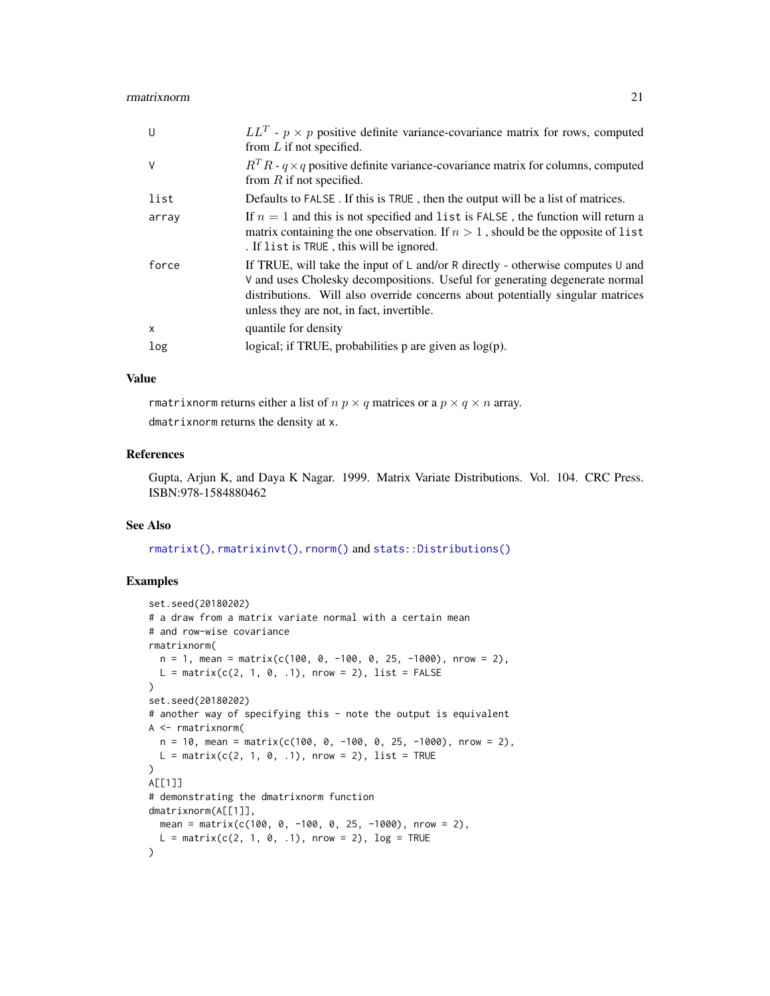#### <span id="page-20-0"></span>rmatrixnorm 21

| U            | $LL^T$ - $p \times p$ positive definite variance-covariance matrix for rows, computed<br>from $L$ if not specified.                                                                                                                                                                          |
|--------------|----------------------------------------------------------------------------------------------------------------------------------------------------------------------------------------------------------------------------------------------------------------------------------------------|
| $\vee$       | $R^T R$ - $q \times q$ positive definite variance-covariance matrix for columns, computed<br>from $R$ if not specified.                                                                                                                                                                      |
| list         | Defaults to FALSE. If this is TRUE, then the output will be a list of matrices.                                                                                                                                                                                                              |
| array        | If $n = 1$ and this is not specified and list is FALSE, the function will return a<br>matrix containing the one observation. If $n > 1$ , should be the opposite of list<br>. If list is TRUE, this will be ignored.                                                                         |
| force        | If TRUE, will take the input of L and/or R directly - otherwise computes U and<br>V and uses Cholesky decompositions. Useful for generating degenerate normal<br>distributions. Will also override concerns about potentially singular matrices<br>unless they are not, in fact, invertible. |
| $\mathsf{x}$ | quantile for density                                                                                                                                                                                                                                                                         |
| log          | logical; if TRUE, probabilities $p$ are given as $log(p)$ .                                                                                                                                                                                                                                  |

#### Value

rmatrixnorm returns either a list of  $n \, p \times q$  matrices or a  $p \times q \times n$  array.

## dmatrixnorm returns the density at x.

#### References

Gupta, Arjun K, and Daya K Nagar. 1999. Matrix Variate Distributions. Vol. 104. CRC Press. ISBN:978-1584880462

#### See Also

[rmatrixt\(\)](#page-21-1), [rmatrixinvt\(\)](#page-17-1), [rnorm\(\)](#page-0-0) and [stats::Distributions\(\)](#page-0-0)

```
set.seed(20180202)
# a draw from a matrix variate normal with a certain mean
# and row-wise covariance
rmatrixnorm(
  n = 1, mean = matrix(c(100, 0, -100, 0, 25, -1000), nrow = 2),
  L = matrix(c(2, 1, 0, .1), nrow = 2), list = FALSE)
set.seed(20180202)
# another way of specifying this - note the output is equivalent
A <- rmatrixnorm(
  n = 10, mean = matrix(c(100, 0, -100, 0, 25, -1000), nrow = 2),
  L = matrix(c(2, 1, 0, .1), nrow = 2), list = TRUE\mathcal{L}A[[1]]
# demonstrating the dmatrixnorm function
dmatrixnorm(A[[1]],
 mean = matrix(c(100, 0, -100, 0, 25, -1000), nrow = 2),
  L = matrix(c(2, 1, 0, .1), nrow = 2), log = TRUE\mathcal{L}
```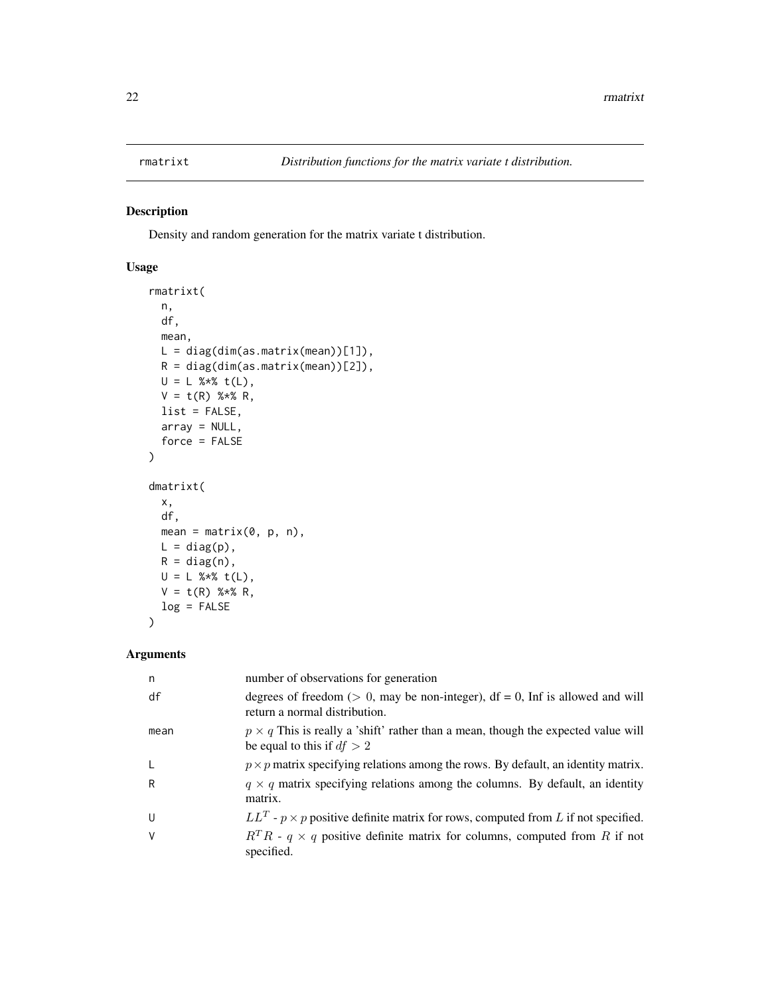<span id="page-21-1"></span><span id="page-21-0"></span>

Density and random generation for the matrix variate t distribution.

#### Usage

```
rmatrixt(
 n,
 df,
 mean,
 L = diag(dim(as.matrix(mean))[1]),
 R = diag(dim(as.matrix(mean))[2]),
 U = L %*% t(L),
 V = t(R) %*% R,
 list = FALSE,
 array = NULL,
 force = FALSE
\overline{\phantom{a}}dmatrixt(
 x,
 df,
 mean = matrix(0, p, n),L = diag(p),
 R = diag(n),
 U = L %*% t(L),
 V = t(R) %*% R,
 log = FALSE
\mathcal{L}
```

| n    | number of observations for generation                                                                                    |
|------|--------------------------------------------------------------------------------------------------------------------------|
| df   | degrees of freedom ( $> 0$ , may be non-integer), df = 0, Inf is allowed and will<br>return a normal distribution.       |
| mean | $p \times q$ This is really a 'shift' rather than a mean, though the expected value will<br>be equal to this if $df > 2$ |
| L    | $p \times p$ matrix specifying relations among the rows. By default, an identity matrix.                                 |
| R    | $q \times q$ matrix specifying relations among the columns. By default, an identity<br>matrix.                           |
| U    | $LL^T$ - $p \times p$ positive definite matrix for rows, computed from L if not specified.                               |
| ٧    | $R^TR$ - $q \times q$ positive definite matrix for columns, computed from R if not<br>specified.                         |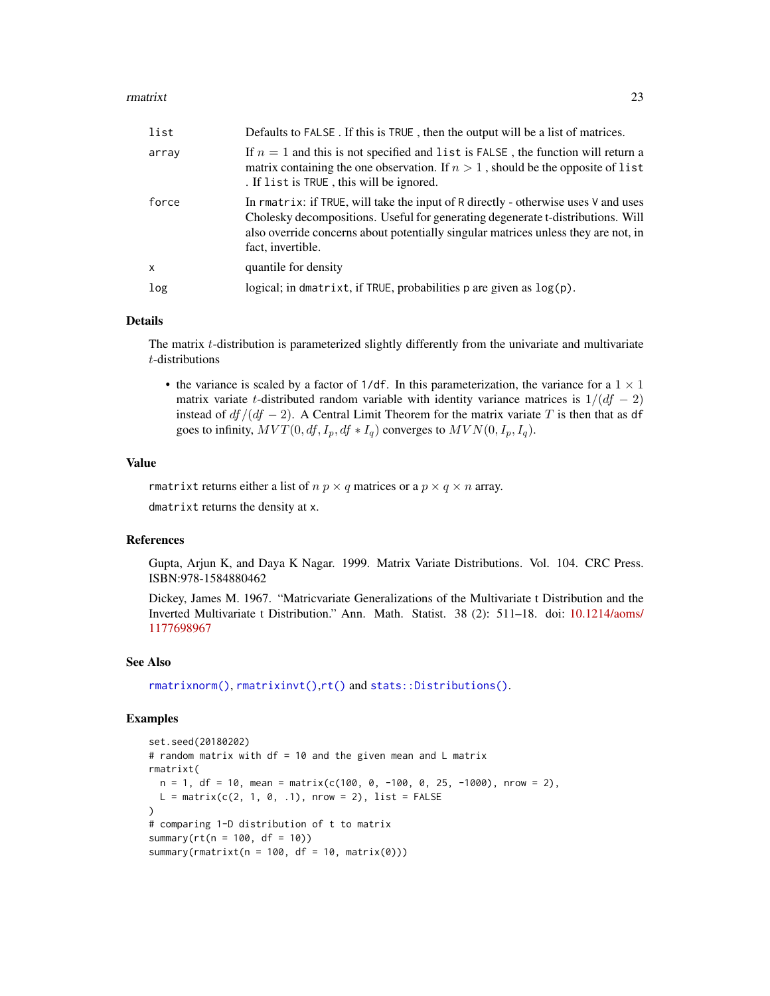#### <span id="page-22-0"></span>rmatrixt 23

| list         | Defaults to FALSE. If this is TRUE, then the output will be a list of matrices.                                                                                                                                                                                                  |
|--------------|----------------------------------------------------------------------------------------------------------------------------------------------------------------------------------------------------------------------------------------------------------------------------------|
| array        | If $n = 1$ and this is not specified and list is FALSE, the function will return a<br>matrix containing the one observation. If $n > 1$ , should be the opposite of list<br>. If list is TRUE, this will be ignored.                                                             |
| force        | In rmatrix: if TRUE, will take the input of R directly - otherwise uses V and uses<br>Cholesky decompositions. Useful for generating degenerate t-distributions. Will<br>also override concerns about potentially singular matrices unless they are not, in<br>fact, invertible. |
| $\mathsf{x}$ | quantile for density                                                                                                                                                                                                                                                             |
| log          | logical; in dmatrixt, if TRUE, probabilities $p$ are given as $log(p)$ .                                                                                                                                                                                                         |

#### Details

The matrix t-distribution is parameterized slightly differently from the univariate and multivariate t-distributions

• the variance is scaled by a factor of 1/df. In this parameterization, the variance for a  $1 \times 1$ matrix variate t-distributed random variable with identity variance matrices is  $1/(df - 2)$ instead of  $df/(df - 2)$ . A Central Limit Theorem for the matrix variate T is then that as df goes to infinity,  $MVT(0, df, I_p, df * I_q)$  converges to  $MVN(0, I_p, I_q)$ .

#### Value

rmatrixt returns either a list of  $n \, p \times q$  matrices or a  $p \times q \times n$  array. dmatrixt returns the density at x.

#### References

Gupta, Arjun K, and Daya K Nagar. 1999. Matrix Variate Distributions. Vol. 104. CRC Press. ISBN:978-1584880462

Dickey, James M. 1967. "Matricvariate Generalizations of the Multivariate t Distribution and the Inverted Multivariate t Distribution." Ann. Math. Statist. 38 (2): 511–18. doi: [10.1214/aoms/](https://doi.org/10.1214/aoms/1177698967) [1177698967](https://doi.org/10.1214/aoms/1177698967)

#### See Also

[rmatrixnorm\(\)](#page-19-1), [rmatrixinvt\(\)](#page-17-1),[rt\(\)](#page-0-0) and [stats::Distributions\(\)](#page-0-0).

```
set.seed(20180202)
# random matrix with df = 10 and the given mean and L matrix
rmatrixt(
 n = 1, df = 10, mean = matrix(c(100, 0, -100, 0, 25, -1000), nrow = 2),
 L = matrix(c(2, 1, 0, .1), nrow = 2), list = FALSE)
# comparing 1-D distribution of t to matrix
summary(rt(n = 100, df = 10))
summary(rmatrixt(n = 100, df = 10, matrix(0)))
```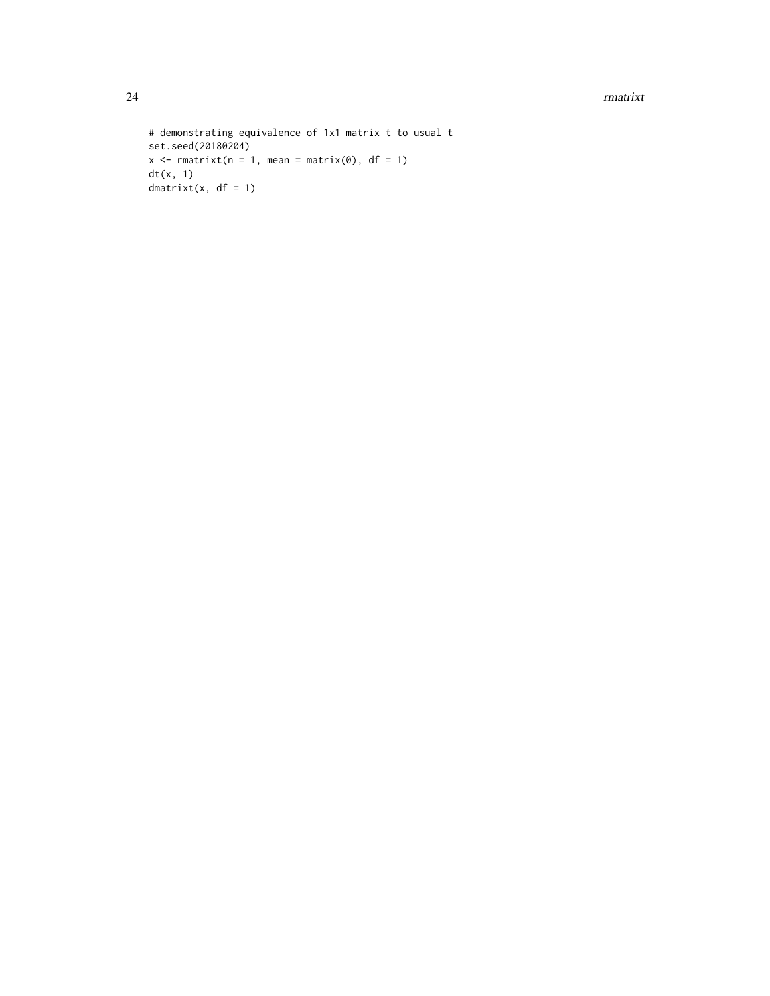24 rmatrixt control and the control of the control of the control of the control of the control of the control of the control of the control of the control of the control of the control of the control of the control of the

```
# demonstrating equivalence of 1x1 matrix t to usual t
set.seed(20180204)
x \leq -r matrixt(n = 1, mean = matrix(0), df = 1)
dt(x, 1)
dmatrixt(x, df = 1)
```